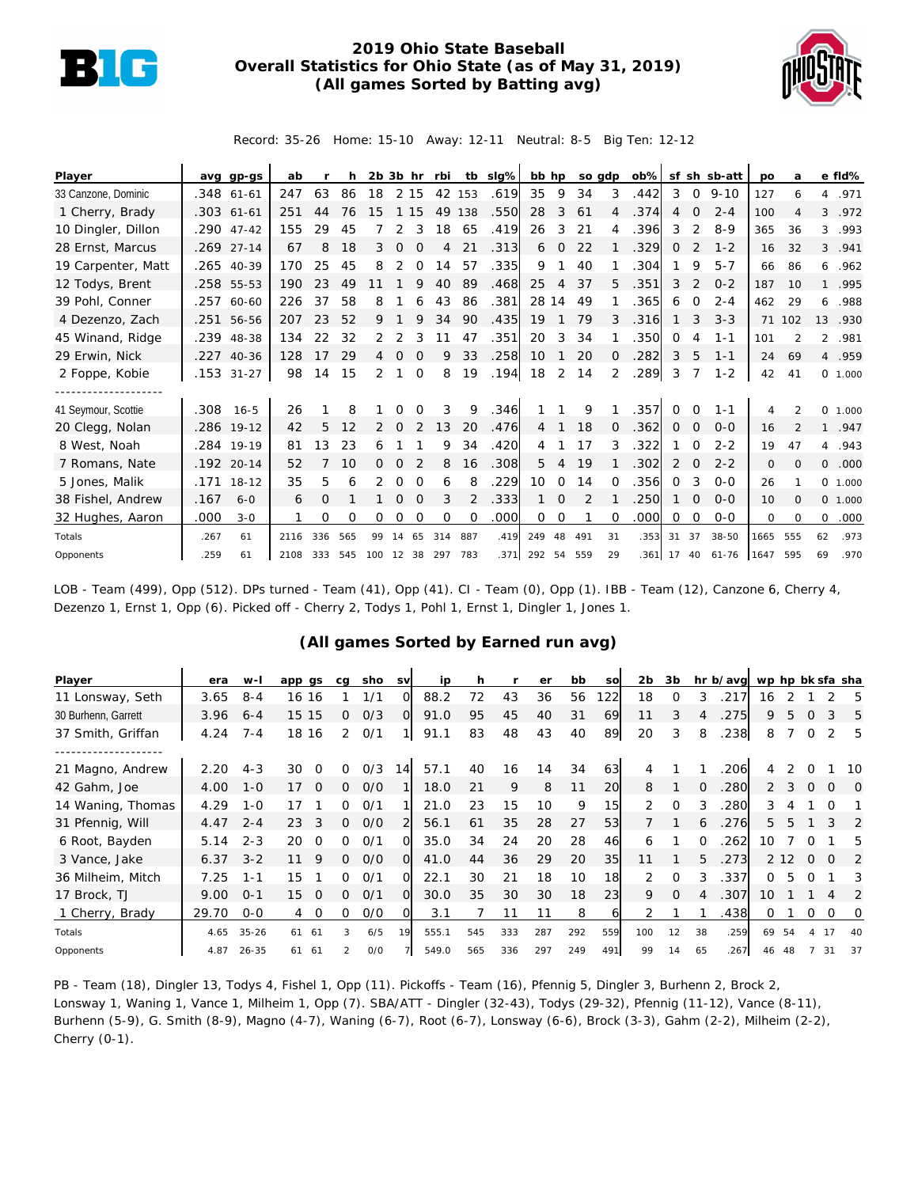

## **2019 Ohio State Baseball Overall Statistics for Ohio State (as of May 31, 2019) (All games Sorted by Batting avg)**



Record: 35-26 Home: 15-10 Away: 12-11 Neutral: 8-5 Big Ten: 12-12

| Player              |      | avg gp-gs  | ab   |     | h   | $2b$ $3b$ hr |          |          | rbi |          | tb slg% | bb hp          |                | so gdp |          | $ob\%$ |             |                | sf sh sb-att | po   | a              |                | e fld%   |
|---------------------|------|------------|------|-----|-----|--------------|----------|----------|-----|----------|---------|----------------|----------------|--------|----------|--------|-------------|----------------|--------------|------|----------------|----------------|----------|
| 33 Canzone, Dominic |      | .348 61-61 | 247  | 63  | 86  | 18           |          | 2 15     |     | 42 153   | .619    | 35             | 9              | 34     | 3        | .442   | 3           | $\circ$        | $9 - 10$     | 127  | 6              | 4              | .971     |
| 1 Cherry, Brady     |      | .303 61-61 | 251  | 44  | 76  | 15           |          | 15       | 49  | 138      | .550    | 28             | 3              | 61     | 4        | .374   | 4           | $\Omega$       | $2 - 4$      | 100  | $\overline{4}$ |                | 3 .972   |
| 10 Dingler, Dillon  |      | .290 47-42 | 155  | 29  | 45  |              | 2        |          | 18  | 65       | .419    | 26             | 3              | 21     | 4        | .396   | 3           | $\overline{2}$ | $8-9$        | 365  | 36             | 3              | .993     |
| 28 Ernst, Marcus    |      | .269 27-14 | 67   | 8   | 18  | 3            | $\Omega$ | $\Omega$ | 4   | 21       | .313    | 6              | $\overline{0}$ | 22     |          | .329   | $\mathbf 0$ | 2              | $1 - 2$      | 16   | 32             | 3              | .941     |
| 19 Carpenter, Matt  |      | .265 40-39 | 170  | 25  | 45  | 8            | 2        | $\Omega$ | 14  | 57       | .335    | 9              |                | 40     |          | .304   |             | 9              | $5 - 7$      | 66   | 86             |                | 6, 962   |
| 12 Todys, Brent     |      | .258 55-53 | 190  | 23  | 49  |              |          |          | 40  | 89       | .468    | 25             | 4              | 37     | 5        | .351   | 3           | $\overline{2}$ | $O - 2$      | 187  | 10             |                | 1 .995   |
| 39 Pohl, Conner     | .257 | 60-60      | 226  | 37  | 58  | 8            |          | 6        | 43  | 86       | .381    | 28 14          |                | 49     |          | .365   | 6           | 0              | $2 - 4$      | 462  | 29             | 6              | .988     |
| 4 Dezenzo, Zach     |      | .251 56-56 | 207  | 23  | 52  | 9            |          |          | 34  | 90       | .435    | 19             |                | 79     | 3        | .316   |             | 3              | $3 - 3$      | 71   | 102            | 13             | .930     |
| 45 Winand, Ridge    | .239 | 48-38      | 134  | 22  | 32  | 2            |          |          |     | 47       | .351    | 20             | 3              | 34     |          | .350   | $\Omega$    | 4              | $1 - 1$      | 101  | $\overline{2}$ | $\overline{2}$ | .981     |
| 29 Erwin, Nick      | .227 | 40-36      | 128  | 17  | 29  | 4            | $\Omega$ | $\Omega$ | 9   | 33       | .258    | 10             |                | 20     | 0        | .282   | 3           | 5              | $1 - 1$      | 24   | 69             |                | 4.959    |
| 2 Foppe, Kobie      | .153 | $31 - 27$  | 98   | 14  | 15  | 2            |          | $\Omega$ | 8   | 19       | .194    | 18             | 2              | 14     | 2        | .289   | 3           |                | $1 - 2$      | 42   | 41             |                | 0, 1,000 |
|                     |      |            |      |     |     |              |          |          |     |          |         |                |                |        |          |        |             |                |              |      |                |                |          |
| 41 Seymour, Scottie | .308 | $16 - 5$   | 26   |     | 8   |              | O        | $\Omega$ | 3   | 9        | .346    |                |                | 9      |          | .357   | $\Omega$    | $\Omega$       | $1 - 1$      | 4    | $\overline{2}$ |                | 0 1.000  |
| 20 Clegg, Nolan     |      | .286 19-12 | 42   | 5   | 12  | 2            | 0        |          | 13  | 20       | .476    | $\overline{4}$ |                | 18     | 0        | .362   | 0           | $\mathbf 0$    | $O - O$      | 16   |                |                | 1.947    |
| 8 West, Noah        |      | .284 19-19 | 81   | 13  | 23  | 6            |          |          | 9   | 34       | .420    | 4              |                | 17     | 3        | .322   |             | $\Omega$       | $2 - 2$      | 19   | 47             |                | 4.943    |
| 7 Romans, Nate      | .192 | $20 - 14$  | 52   |     | 10  | 0            | O        |          | 8   | 16       | .308    | 5              | 4              | 19     |          | 302    | 2           | $\Omega$       | $2 - 2$      | 0    | $\Omega$       | $\circ$        | .000     |
| 5 Jones, Malik      | .171 | $18 - 12$  | 35   | 5   | 6   |              | $\Omega$ | $\Omega$ | 6   | 8        | .229    | 10             | 0              | 14     | O        | .356   | $\Omega$    | 3              | $O-O$        | 26   |                |                | 0 1.000  |
| 38 Fishel, Andrew   | .167 | $6 - 0$    | 6    | 0   |     |              | 0        | $\Omega$ | 3   | 2        | .333    |                | $\Omega$       | 2      |          | .250   |             | $\Omega$       | $O - O$      | 10   | $\Omega$       |                | 0 1.000  |
| 32 Hughes, Aaron    | .000 | $3 - 0$    |      | Ω   | Ω   | 0            | O        | ∩        | O   | $\Omega$ | .000    | 0              | $\Omega$       |        | $\Omega$ | .000   | $\Omega$    | 0              | $0 - 0$      | 0    | $\Omega$       | 0              | .000     |
| Totals              | .267 | 61         | 2116 | 336 | 565 | 99           | 14       | 65       | 314 | 887      | .419    | 249            | 48             | 491    | 31       | .353   | 31          | 37             | $38 - 50$    | 1665 | 555            | 62             | .973     |
| Opponents           | .259 | 61         | 2108 | 333 | 545 | 100          | 12       | 38       | 297 | 783      | .371    | 292            | 54             | 559    | 29       | .361   | 17          | 40             | $61 - 76$    | 1647 | 595            | 69             | .970     |

LOB - Team (499), Opp (512). DPs turned - Team (41), Opp (41). CI - Team (0), Opp (1). IBB - Team (12), Canzone 6, Cherry 4, Dezenzo 1, Ernst 1, Opp (6). Picked off - Cherry 2, Todys 1, Pohl 1, Ernst 1, Dingler 1, Jones 1.

## **(All games Sorted by Earned run avg)**

| Player              | era   | w-l       | app gs              | cg            | sho | <b>SV</b>      | ip    | n.  |     | er  | bb  | SO              | 2b             | 3b       |          | hr b/avg wp hp bk sfa sha |          |       |          |          |          |
|---------------------|-------|-----------|---------------------|---------------|-----|----------------|-------|-----|-----|-----|-----|-----------------|----------------|----------|----------|---------------------------|----------|-------|----------|----------|----------|
| 11 Lonsway, Seth    | 3.65  | $8 - 4$   | 16 16               |               | 1/1 | $\Omega$       | 88.2  | 72  | 43  | 36  | 56  | 122             | 18             | 0        | 3        | 217                       | 16       |       |          |          | 5        |
| 30 Burhenn, Garrett | 3.96  | $6 - 4$   | 15<br>15            | 0             | O/3 | $\circ$        | 91.0  | 95  | 45  | 40  | 31  | 69              | 11             | 3        | 4        | 275                       | 9        | 5     | $\Omega$ | 3        | 5        |
| 37 Smith, Griffan   | 4.24  | $7 - 4$   | 18 16               | 2             | 0/1 | 11             | 91.1  | 83  | 48  | 43  | 40  | 89              | 20             | 3        | 8        | .238                      | 8        |       | $\Omega$ |          | 5        |
| 21 Magno, Andrew    | 2.20  | $4 - 3$   | 30<br>$\Omega$      | <sup>o</sup>  | O/3 | 14             | 57.1  | 40  | 16  | 4   | 34  | 63              | 4              |          |          | 206                       | 4        |       |          |          | 10       |
| 42 Gahm, Joe        | 4.00  | $1 - 0$   | 17<br>$\Omega$      | 0             | O/O |                | 18.0  | 21  | 9   | 8   | 11  | 20              | 8              |          | $\Omega$ | 280                       | 2        |       | 0        | $\Omega$ | $\Omega$ |
| 14 Waning, Thomas   | 4.29  | $1 - 0$   | 17                  | O             | 0/1 |                | 21.0  | 23  | 15  | 10  | 9   | 15 <sub>l</sub> | $\overline{2}$ | 0        | 3        | 280                       | 3        |       |          | O        |          |
| 31 Pfennig, Will    | 4.47  | $2 - 4$   | 3<br>23             | $\Omega$      | O/O | $\overline{2}$ | 56.1  | 61  | 35  | 28  | 27  | 53              |                |          | 6        | .276                      | 5        | 5.    |          | 3        | 2        |
| 6 Root, Bayden      | 5.14  | $2 - 3$   | 20<br>$\Omega$      | 0             | O/1 | O.             | 35.0  | 34  | 24  | 20  | 28  | 46              | 6              |          | $\Omega$ | 262                       | 10       |       |          |          | 5        |
| 3 Vance, Jake       | 6.37  | $3 - 2$   | 11<br>9             | 0             | O/O | $\Omega$       | 41.0  | 44  | 36  | 29  | 20  | 35 <sub>l</sub> | 11             |          | 5        | .273                      |          | 2 1 2 | $\Omega$ | $\Omega$ | 2        |
| 36 Milheim, Mitch   | 7.25  | $1 - 1$   | 15                  | 0             | O/1 | $\Omega$       | 22.1  | 30  | 21  | 18  | 10  | 18              | $\overline{2}$ | $\Omega$ | 3        | .337                      | $\Omega$ | 5     | $\Omega$ |          | 3        |
| 17 Brock, TJ        | 9.00  | $0 - 1$   | 15<br>$\Omega$      | 0             | 0/1 | $\Omega$       | 30.0  | 35  | 30  | 30  | 18  | 23              | 9              | $\Omega$ | 4        | .307                      | 10       |       |          | 4        | 2        |
| 1 Cherry, Brady     | 29.70 | $0 - 0$   | $\overline{O}$<br>4 | Ω             | O/O | O.             | 3.1   |     | 11  | 11  | 8   | 61              | 2              |          |          | .438                      | Ω        |       | 0        | $\Omega$ | 0        |
| Totals              | 4.65  | $35 - 26$ | 61 61               | 3             | 6/5 | 19             | 555.1 | 545 | 333 | 287 | 292 | 559             | 100            | 12       | 38       | .259                      | 69       | 54    | 4        | 17       | 40       |
| Opponents           | 4.87  | $26 - 35$ | 61 61               | $\mathcal{P}$ | O/O | 7 <sup>1</sup> | 549.0 | 565 | 336 | 297 | 249 | 491             | 99             | 14       | 65       | .267                      | 46       |       |          | 31       | 37       |

PB - Team (18), Dingler 13, Todys 4, Fishel 1, Opp (11). Pickoffs - Team (16), Pfennig 5, Dingler 3, Burhenn 2, Brock 2, Lonsway 1, Waning 1, Vance 1, Milheim 1, Opp (7). SBA/ATT - Dingler (32-43), Todys (29-32), Pfennig (11-12), Vance (8-11), Burhenn (5-9), G. Smith (8-9), Magno (4-7), Waning (6-7), Root (6-7), Lonsway (6-6), Brock (3-3), Gahm (2-2), Milheim (2-2), Cherry (0-1).